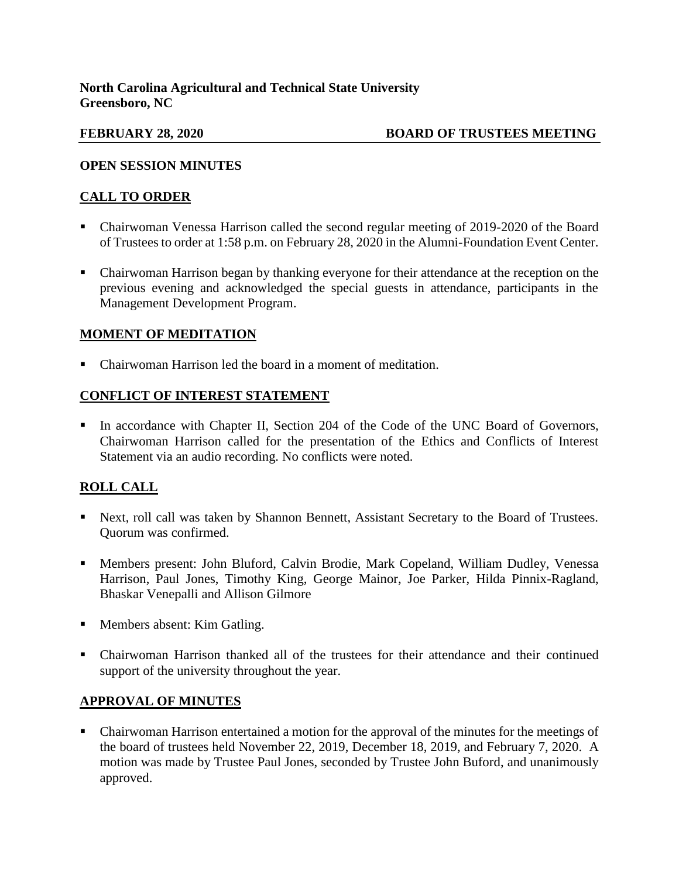## **FEBRUARY 28, 2020 BOARD OF TRUSTEES MEETING**

## **OPEN SESSION MINUTES**

## **CALL TO ORDER**

- Chairwoman Venessa Harrison called the second regular meeting of 2019-2020 of the Board of Trustees to order at 1:58 p.m. on February 28, 2020 in the Alumni-Foundation Event Center.
- Chairwoman Harrison began by thanking everyone for their attendance at the reception on the previous evening and acknowledged the special guests in attendance, participants in the Management Development Program.

## **MOMENT OF MEDITATION**

Chairwoman Harrison led the board in a moment of meditation.

# **CONFLICT OF INTEREST STATEMENT**

In accordance with Chapter II, Section 204 of the Code of the UNC Board of Governors, Chairwoman Harrison called for the presentation of the Ethics and Conflicts of Interest Statement via an audio recording. No conflicts were noted.

# **ROLL CALL**

- Next, roll call was taken by Shannon Bennett, Assistant Secretary to the Board of Trustees. Quorum was confirmed.
- Members present: John Bluford, Calvin Brodie, Mark Copeland, William Dudley, Venessa Harrison, Paul Jones, Timothy King, George Mainor, Joe Parker, Hilda Pinnix-Ragland, Bhaskar Venepalli and Allison Gilmore
- Members absent: Kim Gatling.
- Chairwoman Harrison thanked all of the trustees for their attendance and their continued support of the university throughout the year.

## **APPROVAL OF MINUTES**

 Chairwoman Harrison entertained a motion for the approval of the minutes for the meetings of the board of trustees held November 22, 2019, December 18, 2019, and February 7, 2020. A motion was made by Trustee Paul Jones, seconded by Trustee John Buford, and unanimously approved.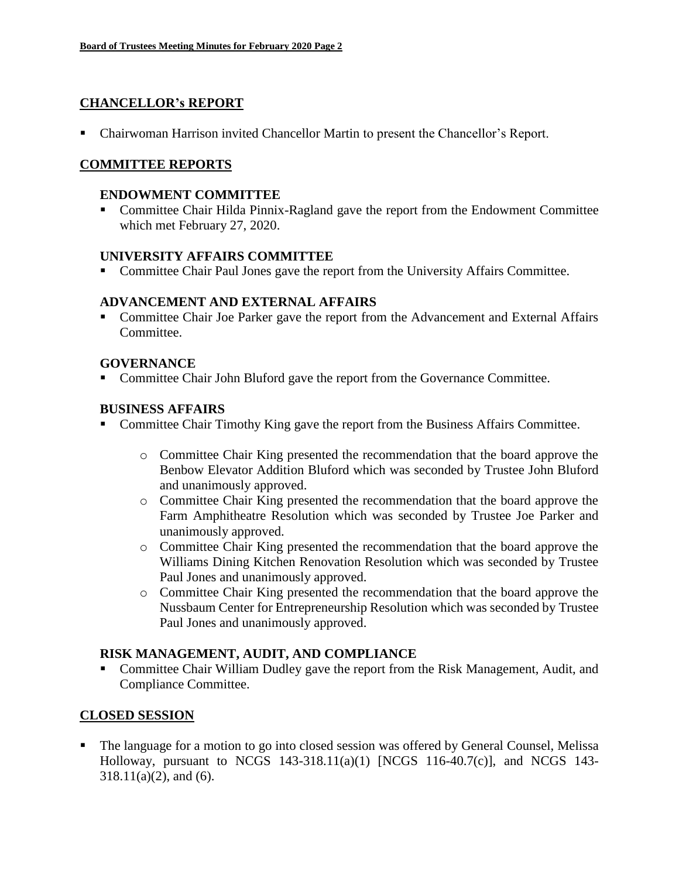## **CHANCELLOR's REPORT**

Chairwoman Harrison invited Chancellor Martin to present the Chancellor's Report.

## **COMMITTEE REPORTS**

### **ENDOWMENT COMMITTEE**

 Committee Chair Hilda Pinnix-Ragland gave the report from the Endowment Committee which met February 27, 2020.

### **UNIVERSITY AFFAIRS COMMITTEE**

Committee Chair Paul Jones gave the report from the University Affairs Committee.

## **ADVANCEMENT AND EXTERNAL AFFAIRS**

 Committee Chair Joe Parker gave the report from the Advancement and External Affairs Committee.

## **GOVERNANCE**

• Committee Chair John Bluford gave the report from the Governance Committee.

## **BUSINESS AFFAIRS**

- Committee Chair Timothy King gave the report from the Business Affairs Committee.
	- o Committee Chair King presented the recommendation that the board approve the Benbow Elevator Addition Bluford which was seconded by Trustee John Bluford and unanimously approved.
	- o Committee Chair King presented the recommendation that the board approve the Farm Amphitheatre Resolution which was seconded by Trustee Joe Parker and unanimously approved.
	- o Committee Chair King presented the recommendation that the board approve the Williams Dining Kitchen Renovation Resolution which was seconded by Trustee Paul Jones and unanimously approved.
	- o Committee Chair King presented the recommendation that the board approve the Nussbaum Center for Entrepreneurship Resolution which was seconded by Trustee Paul Jones and unanimously approved.

### **RISK MANAGEMENT, AUDIT, AND COMPLIANCE**

 Committee Chair William Dudley gave the report from the Risk Management, Audit, and Compliance Committee.

## **CLOSED SESSION**

 The language for a motion to go into closed session was offered by General Counsel, Melissa Holloway, pursuant to NCGS 143-318.11(a)(1) [NCGS 116-40.7(c)], and NCGS 143-  $318.11(a)(2)$ , and (6).